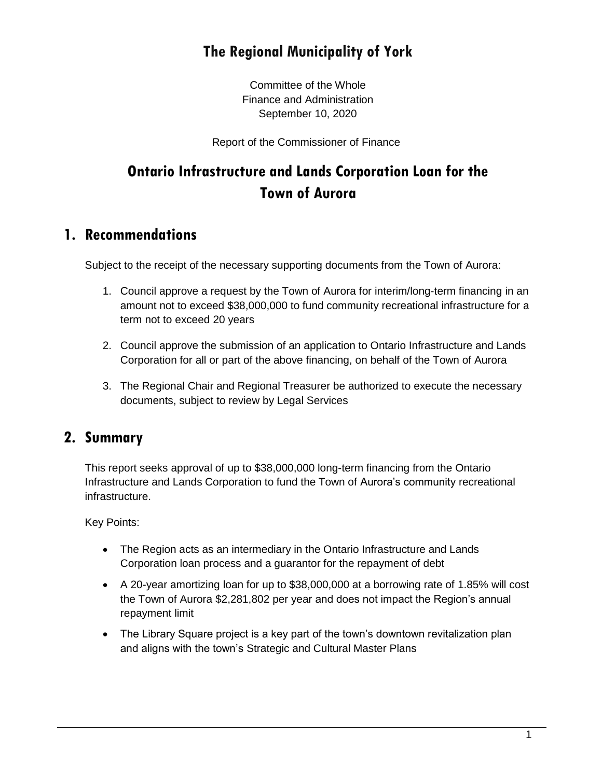# **The Regional Municipality of York**

Committee of the Whole Finance and Administration September 10, 2020

Report of the Commissioner of Finance

# **Ontario Infrastructure and Lands Corporation Loan for the Town of Aurora**

### **1. Recommendations**

Subject to the receipt of the necessary supporting documents from the Town of Aurora:

- 1. Council approve a request by the Town of Aurora for interim/long-term financing in an amount not to exceed \$38,000,000 to fund community recreational infrastructure for a term not to exceed 20 years
- 2. Council approve the submission of an application to Ontario Infrastructure and Lands Corporation for all or part of the above financing, on behalf of the Town of Aurora
- 3. The Regional Chair and Regional Treasurer be authorized to execute the necessary documents, subject to review by Legal Services

### **2. Summary**

This report seeks approval of up to \$38,000,000 long-term financing from the Ontario Infrastructure and Lands Corporation to fund the Town of Aurora's community recreational infrastructure.

Key Points:

- The Region acts as an intermediary in the Ontario Infrastructure and Lands Corporation loan process and a guarantor for the repayment of debt
- A 20-year amortizing loan for up to \$38,000,000 at a borrowing rate of 1.85% will cost the Town of Aurora \$2,281,802 per year and does not impact the Region's annual repayment limit
- The Library Square project is a key part of the town's downtown revitalization plan and aligns with the town's Strategic and Cultural Master Plans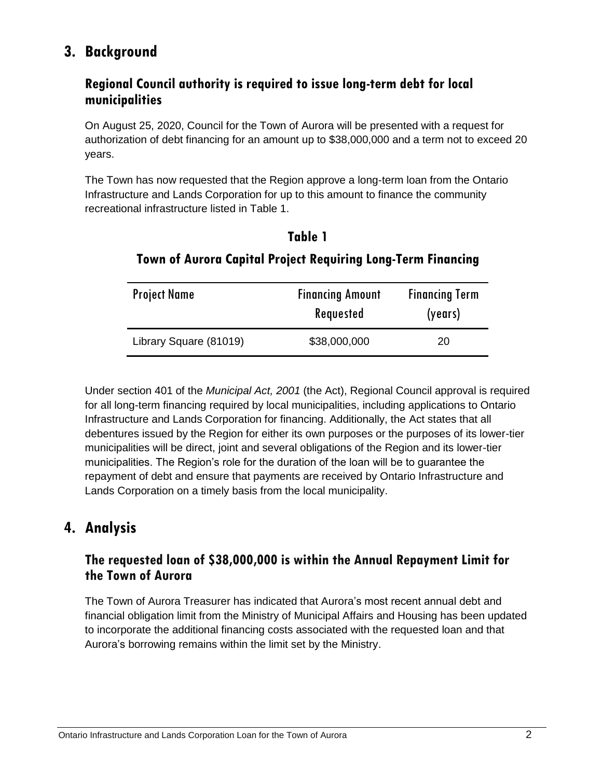# **3. Background**

#### **Regional Council authority is required to issue long-term debt for local municipalities**

On August 25, 2020, Council for the Town of Aurora will be presented with a request for authorization of debt financing for an amount up to \$38,000,000 and a term not to exceed 20 years.

The Town has now requested that the Region approve a long-term loan from the Ontario Infrastructure and Lands Corporation for up to this amount to finance the community recreational infrastructure listed in Table 1.

| able |
|------|
|------|

| <b>Project Name</b>    | <b>Financing Amount</b><br>Requested | <b>Financing Term</b><br>(years) |
|------------------------|--------------------------------------|----------------------------------|
| Library Square (81019) | \$38,000,000                         | 20                               |

#### **Town of Aurora Capital Project Requiring Long-Term Financing**

Under section 401 of the *Municipal Act, 2001* (the Act), Regional Council approval is required for all long-term financing required by local municipalities, including applications to Ontario Infrastructure and Lands Corporation for financing. Additionally, the Act states that all debentures issued by the Region for either its own purposes or the purposes of its lower-tier municipalities will be direct, joint and several obligations of the Region and its lower-tier municipalities. The Region's role for the duration of the loan will be to guarantee the repayment of debt and ensure that payments are received by Ontario Infrastructure and Lands Corporation on a timely basis from the local municipality.

# **4. Analysis**

#### **The requested loan of \$38,000,000 is within the Annual Repayment Limit for the Town of Aurora**

The Town of Aurora Treasurer has indicated that Aurora's most recent annual debt and financial obligation limit from the Ministry of Municipal Affairs and Housing has been updated to incorporate the additional financing costs associated with the requested loan and that Aurora's borrowing remains within the limit set by the Ministry.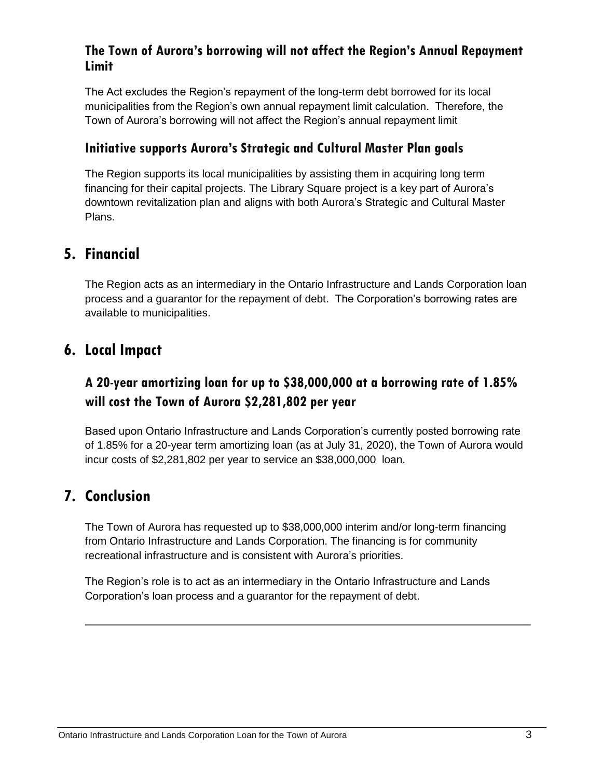#### **The Town of Aurora's borrowing will not affect the Region's Annual Repayment Limit**

The Act excludes the Region's repayment of the long-term debt borrowed for its local municipalities from the Region's own annual repayment limit calculation. Therefore, the Town of Aurora's borrowing will not affect the Region's annual repayment limit

#### **Initiative supports Aurora's Strategic and Cultural Master Plan goals**

The Region supports its local municipalities by assisting them in acquiring long term financing for their capital projects. The Library Square project is a key part of Aurora's downtown revitalization plan and aligns with both Aurora's Strategic and Cultural Master Plans.

# **5. Financial**

The Region acts as an intermediary in the Ontario Infrastructure and Lands Corporation loan process and a guarantor for the repayment of debt. The Corporation's borrowing rates are available to municipalities.

# **6. Local Impact**

# **A 20-year amortizing loan for up to \$38,000,000 at a borrowing rate of 1.85% will cost the Town of Aurora \$2,281,802 per year**

Based upon Ontario Infrastructure and Lands Corporation's currently posted borrowing rate of 1.85% for a 20-year term amortizing loan (as at July 31, 2020), the Town of Aurora would incur costs of \$2,281,802 per year to service an \$38,000,000 loan.

# **7. Conclusion**

The Town of Aurora has requested up to \$38,000,000 interim and/or long-term financing from Ontario Infrastructure and Lands Corporation. The financing is for community recreational infrastructure and is consistent with Aurora's priorities.

The Region's role is to act as an intermediary in the Ontario Infrastructure and Lands Corporation's loan process and a guarantor for the repayment of debt.